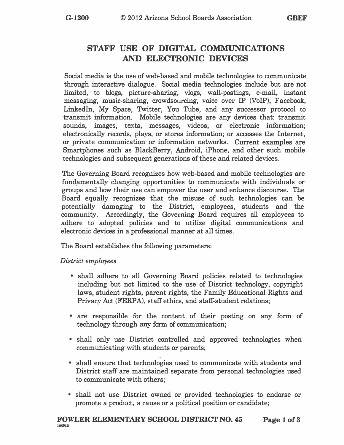## **STAFF USE OF DIGITAL COMMUNICATIONS AND ELECTRONIC DEVICES**

**Social media is the use of web-based and mobile technologies to communicate through interactive dialogue. Social media technologies include but are not limited, to blogs, picture-sharing, vlogs, wall-postings, e-mail, instant messaging, music-sharing, crowdsourcing, voice over IP (VoIP), Facebook,**  LinkedIn, My Space, Twitter, You Tube, and any successor protocol to **transmit information. Mobile technologies are any devices that: transmit sounds, images, texts, messages, videos, or electronic information; electronically records, plays, or stores information; or accesses the Internet, or private communication or information networks. Current examples are Smartphones such as BlackBerry, Android, iPhone, and other such mobile technologies and subsequent generations of these and related devices.** 

**The Governing Board recognizes how web-based and mobile technologies are**  fundamentally changing opportunities to communicate with individuals or **groups and how their use can empower the user and enhance discourse. The Board equally recognizes that the misuse of such technologies can be potentially damaging to the District, employees, students and the community. Accordingly, the Governing Board requires all employees to adhere to adopted policies and to utilize digital communications and electronic devices in a professional manner at all times.** 

**The Board establishes the following parameters:** 

*District employees* 

- **• shall adhere to all Governing Board policies related to technologies including but not limited to the use of District technology, copyright laws, student rights, parent rights, the Family Educational Rights and Privacy Act (FERPA), staff ethics, and staff-student relations;**
- **• are responsible for the content of their posting on any form of technology through any form of communication;**
- **• shall only use District controlled and approved technologies when communicating with students or parents;**
- **• shall ensure that technologies used to communicate with students and District staff are maintained separate from personal technologies used to communicate with others;**
- **• shall not use District owned or provided technologies to endorse or promote a product, a cause or a political position or candidate;**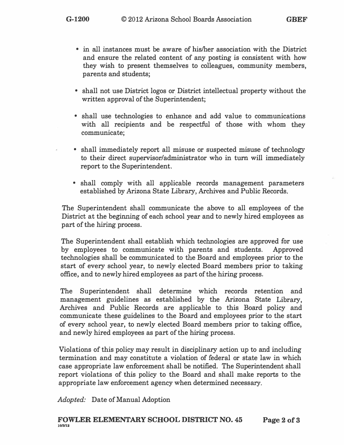- **• in all instances must be aware of his/her association with the District and ensure the related content of any posting is consistent with how they wish to present themselves to colleagues, community members, parents and students;**
- **• shall not use District logos or District intellectual property without the written approval of the Superintendent;**
- **• shall use technologies to enhance and add value to communications with all recipients and be respectful of those with whom they communicate;**
- **• shall immediately report all misuse or suspected misuse of technology to their direct supervisor/administrator who in turn will immediately report to the Superintendent.**
- **• shall comply with all applicable records management parameters established by Arizona State Library, Archives and Public Records.**

**The Superintendent shall communicate the above to all employees of the District at the beginning of each school year and to newly hired employees as part of the hiring process.** 

**The Superintendent shall establish which technologies are approved for use by employees to communicate with parents and students. Approved technologies shall be communicated to the Board and employees prior to the start of every school year, to newly elected Board members prior to taking office, and to newly hired employees as part of the hiring process.** 

**The Superintendent shall determine which records retention and management guidelines as established by the Arizona State Library, Archives and Public Records are applicable to this Board policy and communicate these guidelines to the Board and employees prior to the start of every school year, to newly elected Board members prior to taking office, and newly hired employees as part of the hiring process.** 

**Violations of this policy may result in disciplinary action up to and including termination and may constitute a violation of federal or state law in which case appropriate law enforcement shall be notified. The Superintendent shall report violations of this policy to the Board and shall make reports to the appropriate law enforcement agency when determined necessary.** 

*Adopted:* **Date of Manual Adoption**